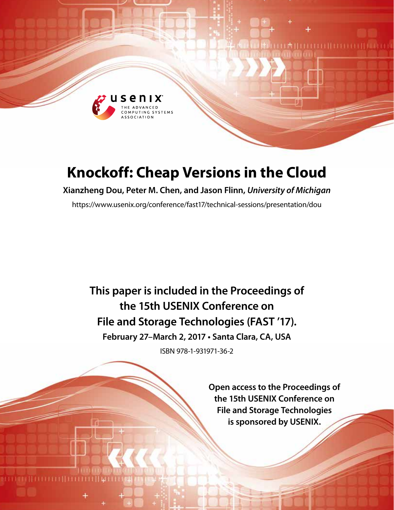

# **Knockoff: Cheap Versions in the Cloud**

**Xianzheng Dou, Peter M. Chen, and Jason Flinn,** *University of Michigan*

https://www.usenix.org/conference/fast17/technical-sessions/presentation/dou

**This paper is included in the Proceedings of the 15th USENIX Conference on File and Storage Technologies (FAST '17). February 27–March 2, 2017 • Santa Clara, CA, USA**

ISBN 978-1-931971-36-2

**Open access to the Proceedings of the 15th USENIX Conference on File and Storage Technologies is sponsored by USENIX.**

**THEFFICIAL PROPERTY**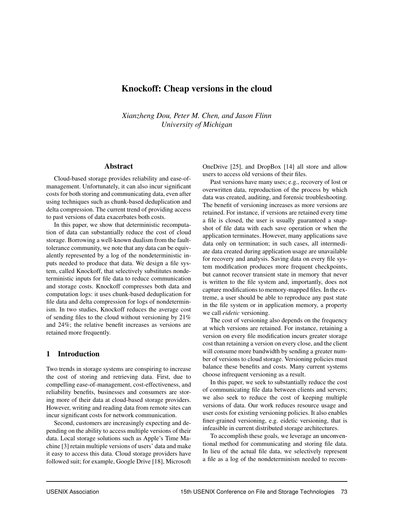# Knockoff: Cheap versions in the cloud

*Xianzheng Dou, Peter M. Chen, and Jason Flinn University of Michigan*

# Abstract

Cloud-based storage provides reliability and ease-ofmanagement. Unfortunately, it can also incur significant costs for both storing and communicating data, even after using techniques such as chunk-based deduplication and delta compression. The current trend of providing access to past versions of data exacerbates both costs.

In this paper, we show that deterministic recomputation of data can substantially reduce the cost of cloud storage. Borrowing a well-known dualism from the faulttolerance community, we note that any data can be equivalently represented by a log of the nondeterministic inputs needed to produce that data. We design a file system, called Knockoff, that selectively substitutes nondeterministic inputs for file data to reduce communication and storage costs. Knockoff compresses both data and computation logs: it uses chunk-based deduplication for file data and delta compression for logs of nondeterminism. In two studies, Knockoff reduces the average cost of sending files to the cloud without versioning by 21% and 24%; the relative benefit increases as versions are retained more frequently.

# 1 Introduction

Two trends in storage systems are conspiring to increase the cost of storing and retrieving data. First, due to compelling ease-of-management, cost-effectiveness, and reliability benefits, businesses and consumers are storing more of their data at cloud-based storage providers. However, writing and reading data from remote sites can incur significant costs for network communication.

Second, customers are increasingly expecting and depending on the ability to access multiple versions of their data. Local storage solutions such as Apple's Time Machine [3] retain multiple versions of users' data and make it easy to access this data. Cloud storage providers have followed suit; for example, Google Drive [18], Microsoft OneDrive [25], and DropBox [14] all store and allow users to access old versions of their files.

Past versions have many uses; e.g., recovery of lost or overwritten data, reproduction of the process by which data was created, auditing, and forensic troubleshooting. The benefit of versioning increases as more versions are retained. For instance, if versions are retained every time a file is closed, the user is usually guaranteed a snapshot of file data with each save operation or when the application terminates. However, many applications save data only on termination; in such cases, all intermediate data created during application usage are unavailable for recovery and analysis. Saving data on every file system modification produces more frequent checkpoints, but cannot recover transient state in memory that never is written to the file system and, importantly, does not capture modifications to memory-mapped files. In the extreme, a user should be able to reproduce any past state in the file system or in application memory, a property we call *eidetic* versioning.

The cost of versioning also depends on the frequency at which versions are retained. For instance, retaining a version on every file modification incurs greater storage cost than retaining a version on every close, and the client will consume more bandwidth by sending a greater number of versions to cloud storage. Versioning policies must balance these benefits and costs. Many current systems choose infrequent versioning as a result.

In this paper, we seek to substantially reduce the cost of communicating file data between clients and servers; we also seek to reduce the cost of keeping multiple versions of data. Our work reduces resource usage and user costs for existing versioning policies. It also enables finer-grained versioning, e.g. eidetic versioning, that is infeasible in current distributed storage architectures.

To accomplish these goals, we leverage an unconventional method for communicating and storing file data. In lieu of the actual file data, we selectively represent a file as a log of the nondeterminism needed to recom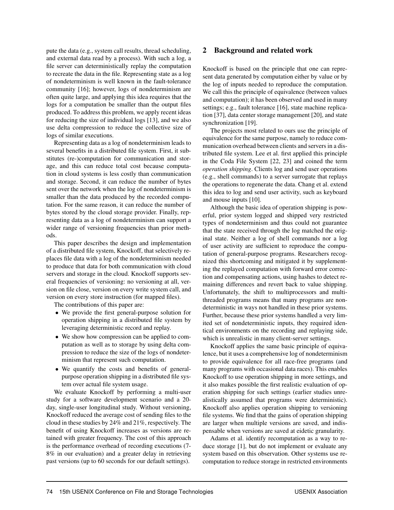pute the data (e.g., system call results, thread scheduling, and external data read by a process). With such a log, a file server can deterministically replay the computation to recreate the data in the file. Representing state as a log of nondeterminism is well known in the fault-tolerance community [16]; however, logs of nondeterminism are often quite large, and applying this idea requires that the logs for a computation be smaller than the output files produced. To address this problem, we apply recent ideas for reducing the size of individual logs [13], and we also use delta compression to reduce the collective size of logs of similar executions.

Representing data as a log of nondeterminism leads to several benefits in a distributed file system. First, it substitutes (re-)computation for communication and storage, and this can reduce total cost because computation in cloud systems is less costly than communication and storage. Second, it can reduce the number of bytes sent over the network when the log of nondeterminism is smaller than the data produced by the recorded computation. For the same reason, it can reduce the number of bytes stored by the cloud storage provider. Finally, representing data as a log of nondeterminism can support a wider range of versioning frequencies than prior methods.

This paper describes the design and implementation of a distributed file system, Knockoff, that selectively replaces file data with a log of the nondeterminism needed to produce that data for both communication with cloud servers and storage in the cloud. Knockoff supports several frequencies of versioning: no versioning at all, version on file close, version on every write system call, and version on every store instruction (for mapped files).

The contributions of this paper are:

- We provide the first general-purpose solution for operation shipping in a distributed file system by leveraging deterministic record and replay.
- We show how compression can be applied to computation as well as to storage by using delta compression to reduce the size of the logs of nondeterminism that represent such computation.
- We quantify the costs and benefits of generalpurpose operation shipping in a distributed file system over actual file system usage.

We evaluate Knockoff by performing a multi-user study for a software development scenario and a 20 day, single-user longitudinal study. Without versioning, Knockoff reduced the average cost of sending files to the cloud in these studies by 24% and 21%, respectively. The benefit of using Knockoff increases as versions are retained with greater frequency. The cost of this approach is the performance overhead of recording executions (7- 8% in our evaluation) and a greater delay in retrieving past versions (up to 60 seconds for our default settings).

# 2 Background and related work

Knockoff is based on the principle that one can represent data generated by computation either by value or by the log of inputs needed to reproduce the computation. We call this the principle of equivalence (between values and computation); it has been observed and used in many settings; e.g., fault tolerance [16], state machine replication [37], data center storage management [20], and state synchronization [19].

The projects most related to ours use the principle of equivalence for the same purpose, namely to reduce communication overhead between clients and servers in a distributed file system. Lee et al. first applied this principle in the Coda File System [22, 23] and coined the term *operation shipping*. Clients log and send user operations (e.g., shell commands) to a server surrogate that replays the operations to regenerate the data. Chang et al. extend this idea to log and send user activity, such as keyboard and mouse inputs [10].

Although the basic idea of operation shipping is powerful, prior system logged and shipped very restricted types of nondeterminism and thus could not guarantee that the state received through the log matched the original state. Neither a log of shell commands nor a log of user activity are sufficient to reproduce the computation of general-purpose programs. Researchers recognized this shortcoming and mitigated it by supplementing the replayed computation with forward error correction and compensating actions, using hashes to detect remaining differences and revert back to value shipping. Unfortunately, the shift to multiprocessors and multithreaded programs means that many programs are nondeterministic in ways not handled in these prior systems. Further, because these prior systems handled a very limited set of nondeterministic inputs, they required identical environments on the recording and replaying side, which is unrealistic in many client-server settings.

Knockoff applies the same basic principle of equivalence, but it uses a comprehensive log of nondeterminism to provide equivalence for all race-free programs (and many programs with occasional data races). This enables Knockoff to use operation shipping in more settings, and it also makes possible the first realistic evaluation of operation shipping for such settings (earlier studies unrealistically assumed that programs were deterministic). Knockoff also applies operation shipping to versioning file systems. We find that the gains of operation shipping are larger when multiple versions are saved, and indispensable when versions are saved at eidetic granularity.

Adams et al. identify recomputation as a way to reduce storage [1], but do not implement or evaluate any system based on this observation. Other systems use recomputation to reduce storage in restricted environments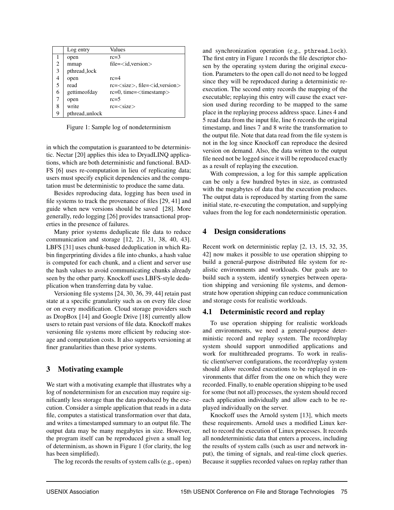|   | Log entry      | Values                              |
|---|----------------|-------------------------------------|
|   | open           | $rc=3$                              |
| 2 | mmap           | $file = < id, version>$             |
| 3 | pthread_lock   |                                     |
| 4 | open           | $rc=4$                              |
| 5 | read           | $rc = $ , file= $<$ id, version $>$ |
| 6 | gettimeofday   | $rc=0$ , time= $<$ timestamp $>$    |
| 7 | open           | $rc=5$                              |
| 8 | write          | $rc=$                               |
| 9 | pthread_unlock |                                     |

Figure 1: Sample log of nondeterminism

in which the computation is guaranteed to be deterministic. Nectar [20] applies this idea to DryadLINQ applications, which are both deterministic and functional. BAD-FS [6] uses re-computation in lieu of replicating data; users must specify explicit dependencies and the computation must be deterministic to produce the same data.

Besides reproducing data, logging has been used in file systems to track the provenance of files [29, 41] and guide when new versions should be saved [28]. More generally, redo logging [26] provides transactional properties in the presence of failures.

Many prior systems deduplicate file data to reduce communication and storage [12, 21, 31, 38, 40, 43]. LBFS [31] uses chunk-based deduplication in which Rabin fingerprinting divides a file into chunks, a hash value is computed for each chunk, and a client and server use the hash values to avoid communicating chunks already seen by the other party. Knockoff uses LBFS-style deduplication when transferring data by value.

Versioning file systems [24, 30, 36, 39, 44] retain past state at a specific granularity such as on every file close or on every modification. Cloud storage providers such as DropBox [14] and Google Drive [18] currently allow users to retain past versions of file data. Knockoff makes versioning file systems more efficient by reducing storage and computation costs. It also supports versioning at finer granularities than these prior systems.

# 3 Motivating example

We start with a motivating example that illustrates why a log of nondeterminism for an execution may require significantly less storage than the data produced by the execution. Consider a simple application that reads in a data file, computes a statistical transformation over that data, and writes a timestamped summary to an output file. The output data may be many megabytes in size. However, the program itself can be reproduced given a small log of determinism, as shown in Figure 1 (for clarity, the log has been simplified).

The log records the results of system calls (e.g., open)

and synchronization operation (e.g., pthread lock). The first entry in Figure 1 records the file descriptor chosen by the operating system during the original execution. Parameters to the open call do not need to be logged since they will be reproduced during a deterministic reexecution. The second entry records the mapping of the executable; replaying this entry will cause the exact version used during recording to be mapped to the same place in the replaying process address space. Lines 4 and 5 read data from the input file, line 6 records the original timestamp, and lines 7 and 8 write the transformation to the output file. Note that data read from the file system is not in the log since Knockoff can reproduce the desired version on demand. Also, the data written to the output file need not be logged since it will be reproduced exactly as a result of replaying the execution.

With compression, a log for this sample application can be only a few hundred bytes in size, as contrasted with the megabytes of data that the execution produces. The output data is reproduced by starting from the same initial state, re-executing the computation, and supplying values from the log for each nondeterministic operation.

# 4 Design considerations

Recent work on deterministic replay [2, 13, 15, 32, 35, 42] now makes it possible to use operation shipping to build a general-purpose distributed file system for realistic environments and workloads. Our goals are to build such a system, identify synergies between operation shipping and versioning file systems, and demonstrate how operation shipping can reduce communication and storage costs for realistic workloads.

# 4.1 Deterministic record and replay

To use operation shipping for realistic workloads and environments, we need a general-purpose deterministic record and replay system. The record/replay system should support unmodified applications and work for multithreaded programs. To work in realistic client/server configurations, the record/replay system should allow recorded executions to be replayed in environments that differ from the one on which they were recorded. Finally, to enable operation shipping to be used for some (but not all) processes, the system should record each application individually and allow each to be replayed individually on the server.

Knockoff uses the Arnold system [13], which meets these requirements. Arnold uses a modified Linux kernel to record the execution of Linux processes. It records all nondeterministic data that enters a process, including the results of system calls (such as user and network input), the timing of signals, and real-time clock queries. Because it supplies recorded values on replay rather than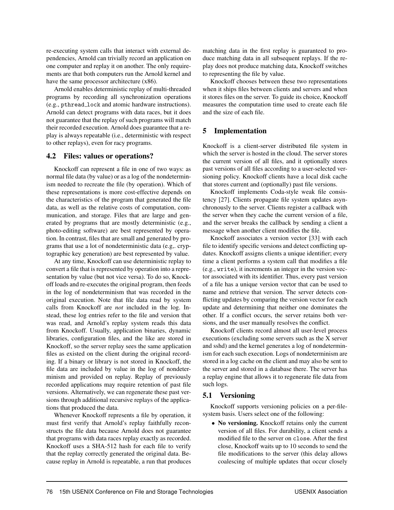re-executing system calls that interact with external dependencies, Arnold can trivially record an application on one computer and replay it on another. The only requirements are that both computers run the Arnold kernel and have the same processor architecture (x86).

Arnold enables deterministic replay of multi-threaded programs by recording all synchronization operations (e.g., pthread lock and atomic hardware instructions). Arnold can detect programs with data races, but it does not guarantee that the replay of such programs will match their recorded execution. Arnold does guarantee that a replay is always repeatable (i.e., deterministic with respect to other replays), even for racy programs.

#### 4.2 Files: values or operations?

Knockoff can represent a file in one of two ways: as normal file data (by value) or as a log of the nondeterminism needed to recreate the file (by operation). Which of these representations is more cost-effective depends on the characteristics of the program that generated the file data, as well as the relative costs of computation, communication, and storage. Files that are large and generated by programs that are mostly deterministic (e.g., photo-editing software) are best represented by operation. In contrast, files that are small and generated by programs that use a lot of nondeterministic data (e.g,. cryptographic key generation) are best represented by value.

At any time, Knockoff can use deterministic replay to convert a file that is represented by operation into a representation by value (but not vice versa). To do so, Knockoff loads and re-executes the original program, then feeds in the log of nondeterminism that was recorded in the original execution. Note that file data read by system calls from Knockoff are *not* included in the log. Instead, these log entries refer to the file and version that was read, and Arnold's replay system reads this data from Knockoff. Usually, application binaries, dynamic libraries, configuration files, and the like are stored in Knockoff, so the server replay sees the same application files as existed on the client during the original recording. If a binary or library is not stored in Knockoff, the file data are included by value in the log of nondeterminism and provided on replay. Replay of previously recorded applications may require retention of past file versions. Alternatively, we can regenerate these past versions through additional recursive replays of the applications that produced the data.

Whenever Knockoff represents a file by operation, it must first verify that Arnold's replay faithfully reconstructs the file data because Arnold does not guarantee that programs with data races replay exactly as recorded. Knockoff uses a SHA-512 hash for each file to verify that the replay correctly generated the original data. Because replay in Arnold is repeatable, a run that produces matching data in the first replay is guaranteed to produce matching data in all subsequent replays. If the replay does not produce matching data, Knockoff switches to representing the file by value.

Knockoff chooses between these two representations when it ships files between clients and servers and when it stores files on the server. To guide its choice, Knockoff measures the computation time used to create each file and the size of each file.

# 5 Implementation

Knockoff is a client-server distributed file system in which the server is hosted in the cloud. The server stores the current version of all files, and it optionally stores past versions of all files according to a user-selected versioning policy. Knockoff clients have a local disk cache that stores current and (optionally) past file versions.

Knockoff implements Coda-style weak file consistency [27]. Clients propagate file system updates asynchronously to the server. Clients register a callback with the server when they cache the current version of a file, and the server breaks the callback by sending a client a message when another client modifies the file.

Knockoff associates a version vector [33] with each file to identify specific versions and detect conflicting updates. Knockoff assigns clients a unique identifier; every time a client performs a system call that modifies a file (e.g., write), it increments an integer in the version vector associated with its identifier. Thus, every past version of a file has a unique version vector that can be used to name and retrieve that version. The server detects conflicting updates by comparing the version vector for each update and determining that neither one dominates the other. If a conflict occurs, the server retains both versions, and the user manually resolves the conflict.

Knockoff clients record almost all user-level process executions (excluding some servers such as the X server and sshd) and the kernel generates a log of nondeterminism for each such execution. Logs of nondeterminism are stored in a log cache on the client and may also be sent to the server and stored in a database there. The server has a replay engine that allows it to regenerate file data from such logs.

# 5.1 Versioning

Knockoff supports versioning policies on a per-filesystem basis. Users select one of the following:

• No versioning. Knockoff retains only the current version of all files. For durability, a client sends a modified file to the server on close. After the first close, Knockoff waits up to 10 seconds to send the file modifications to the server (this delay allows coalescing of multiple updates that occur closely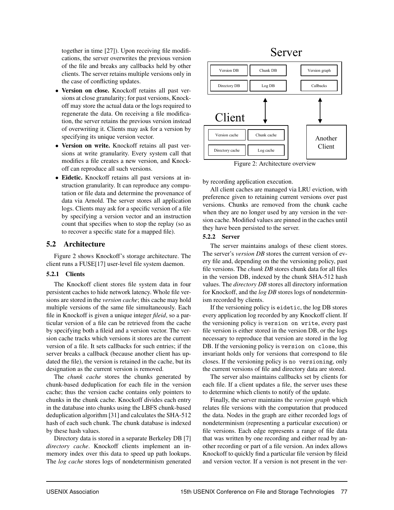together in time [27]). Upon receiving file modifications, the server overwrites the previous version of the file and breaks any callbacks held by other clients. The server retains multiple versions only in the case of conflicting updates.

- Version on close. Knockoff retains all past versions at close granularity; for past versions, Knockoff may store the actual data or the logs required to regenerate the data. On receiving a file modification, the server retains the previous version instead of overwriting it. Clients may ask for a version by specifying its unique version vector.
- Version on write. Knockoff retains all past versions at write granularity. Every system call that modifies a file creates a new version, and Knockoff can reproduce all such versions.
- Eidetic. Knockoff retains all past versions at instruction granularity. It can reproduce any computation or file data and determine the provenance of data via Arnold. The server stores all application logs. Clients may ask for a specific version of a file by specifying a version vector and an instruction count that specifies when to stop the replay (so as to recover a specific state for a mapped file).

# 5.2 Architecture

Figure 2 shows Knockoff's storage architecture. The client runs a FUSE[17] user-level file system daemon.

## 5.2.1 Clients

The Knockoff client stores file system data in four persistent caches to hide network latency. Whole file versions are stored in the *version cache*; this cache may hold multiple versions of the same file simultaneously. Each file in Knockoff is given a unique integer *fileid*, so a particular version of a file can be retrieved from the cache by specifying both a fileid and a version vector. The version cache tracks which versions it stores are the current version of a file. It sets callbacks for such entries; if the server breaks a callback (because another client has updated the file), the version is retained in the cache, but its designation as the current version is removed.

The *chunk cache* stores the chunks generated by chunk-based deduplication for each file in the version cache; thus the version cache contains only pointers to chunks in the chunk cache. Knockoff divides each entry in the database into chunks using the LBFS chunk-based deduplication algorithm [31] and calculates the SHA-512 hash of each such chunk. The chunk database is indexed by these hash values.

Directory data is stored in a separate Berkeley DB [7] *directory cache*. Knockoff clients implement an inmemory index over this data to speed up path lookups. The *log cache* stores logs of nondeterminism generated

# Server



Figure 2: Architecture overview

by recording application execution.

All client caches are managed via LRU eviction, with preference given to retaining current versions over past versions. Chunks are removed from the chunk cache when they are no longer used by any version in the version cache. Modified values are pinned in the caches until they have been persisted to the server.

## 5.2.2 Server

The server maintains analogs of these client stores. The server's *version DB* stores the current version of every file and, depending on the the versioning policy, past file versions. The *chunk DB* stores chunk data for all files in the version DB, indexed by the chunk SHA-512 hash values. The *directory DB* stores all directory information for Knockoff, and the *log DB* stores logs of nondeterminism recorded by clients.

If the versioning policy is eidetic, the log DB stores every application log recorded by any Knockoff client. If the versioning policy is version on write, every past file version is either stored in the version DB, or the logs necessary to reproduce that version are stored in the log DB. If the versioning policy is version on close, this invariant holds only for versions that correspond to file closes. If the versioning policy is no versioning, only the current versions of file and directory data are stored.

The server also maintains callbacks set by clients for each file. If a client updates a file, the server uses these to determine which clients to notify of the update.

Finally, the server maintains the *version graph* which relates file versions with the computation that produced the data. Nodes in the graph are either recorded logs of nondeterminism (representing a particular execution) or file versions. Each edge represents a range of file data that was written by one recording and either read by another recording or part of a file version. An index allows Knockoff to quickly find a particular file version by fileid and version vector. If a version is not present in the ver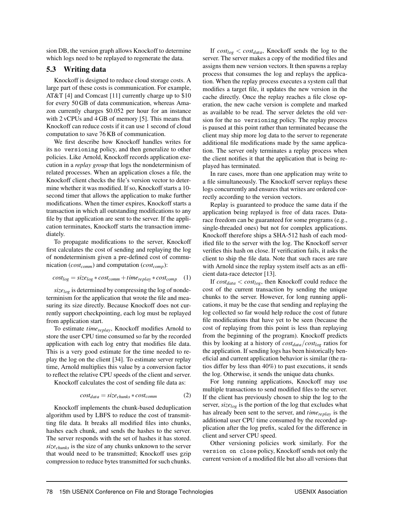sion DB, the version graph allows Knockoff to determine which logs need to be replayed to regenerate the data.

#### 5.3 Writing data

Knockoff is designed to reduce cloud storage costs. A large part of these costs is communication. For example, AT&T [4] and Comcast [11] currently charge up to \$10 for every 50 GB of data communication, whereas Amazon currently charges \$0.052 per hour for an instance with 2 vCPUs and 4 GB of memory [5]. This means that Knockoff can reduce costs if it can use 1 second of cloud computation to save 76 KB of communication.

We first describe how Knockoff handles writes for its no versioning policy, and then generalize to other policies. Like Arnold, Knockoff records application execution in a *replay group* that logs the nondeterminism of related processes. When an application closes a file, the Knockoff client checks the file's version vector to determine whether it was modified. If so, Knockoff starts a 10 second timer that allows the application to make further modifications. When the timer expires, Knockoff starts a transaction in which all outstanding modifications to any file by that application are sent to the server. If the application terminates, Knockoff starts the transaction immediately.

To propagate modifications to the server, Knockoff first calculates the cost of sending and replaying the log of nondeterminism given a pre-defined cost of communication (*costcomm*) and computation (*costcomp*):

$$
cost_{log} = size_{log} * cost_{comm} + time_{replay} * cost_{comp} \quad (1)
$$

*sizelog* is determined by compressing the log of nondeterminism for the application that wrote the file and measuring its size directly. Because Knockoff does not currently support checkpointing, each log must be replayed from application start.

To estimate *timereplay*, Knockoff modifies Arnold to store the user CPU time consumed so far by the recorded application with each log entry that modifies file data. This is a very good estimate for the time needed to replay the log on the client [34]. To estimate server replay time, Arnold multiplies this value by a conversion factor to reflect the relative CPU speeds of the client and server.

Knockoff calculates the cost of sending file data as:

$$
cost_{data} = size_{chunks} * cost_{comm}
$$
 (2)

Knockoff implements the chunk-based deduplication algorithm used by LBFS to reduce the cost of transmitting file data. It breaks all modified files into chunks, hashes each chunk, and sends the hashes to the server. The server responds with the set of hashes it has stored. *sizechunks* is the size of any chunks unknown to the server that would need to be transmitted; Knockoff uses gzip compression to reduce bytes transmitted for such chunks.

If  $cost_{log} < cost_{data}$ , Knockoff sends the log to the server. The server makes a copy of the modified files and assigns them new version vectors. It then spawns a replay process that consumes the log and replays the application. When the replay process executes a system call that modifies a target file, it updates the new version in the cache directly. Once the replay reaches a file close operation, the new cache version is complete and marked as available to be read. The server deletes the old version for the no versioning policy. The replay process is paused at this point rather than terminated because the client may ship more log data to the server to regenerate additional file modifications made by the same application. The server only terminates a replay process when the client notifies it that the application that is being replayed has terminated.

In rare cases, more than one application may write to a file simultaneously. The Knockoff server replays these logs concurrently and ensures that writes are ordered correctly according to the version vectors.

Replay is guaranteed to produce the same data if the application being replayed is free of data races. Datarace freedom can be guaranteed for some programs (e.g., single-threaded ones) but not for complex applications. Knockoff therefore ships a SHA-512 hash of each modified file to the server with the log. The Knockoff server verifies this hash on close. If verification fails, it asks the client to ship the file data. Note that such races are rare with Arnold since the replay system itself acts as an efficient data-race detector [13].

If *costdata* < *costlog*, then Knockoff could reduce the cost of the current transaction by sending the unique chunks to the server. However, for long running applications, it may be the case that sending and replaying the log collected so far would help reduce the cost of future file modifications that have yet to be seen (because the cost of replaying from this point is less than replaying from the beginning of the program). Knockoff predicts this by looking at a history of *costdata*/*costlog* ratios for the application. If sending logs has been historically beneficial and current application behavior is similar (the ratios differ by less than 40%) to past executions, it sends the log. Otherwise, it sends the unique data chunks.

For long running applications, Knockoff may use multiple transactions to send modified files to the server. If the client has previously chosen to ship the log to the server, *sizelog* is the portion of the log that excludes what has already been sent to the server, and *timereplay* is the additional user CPU time consumed by the recorded application after the log prefix, scaled for the difference in client and server CPU speed.

Other versioning policies work similarly. For the version on close policy, Knockoff sends not only the current version of a modified file but also all versions that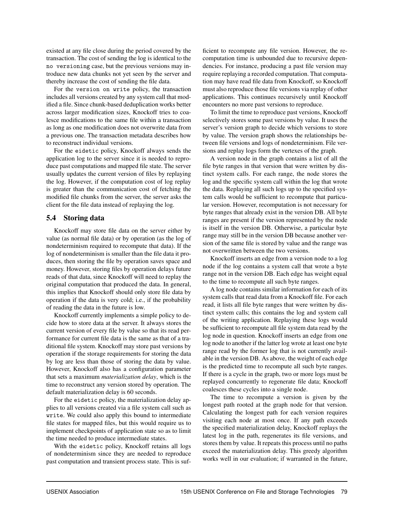existed at any file close during the period covered by the transaction. The cost of sending the log is identical to the no versioning case, but the previous versions may introduce new data chunks not yet seen by the server and thereby increase the cost of sending the file data.

For the version on write policy, the transaction includes all versions created by any system call that modified a file. Since chunk-based deduplication works better across larger modification sizes, Knockoff tries to coalesce modifications to the same file within a transaction as long as one modification does not overwrite data from a previous one. The transaction metadata describes how to reconstruct individual versions.

For the eidetic policy, Knockoff always sends the application log to the server since it is needed to reproduce past computations and mapped file state. The server usually updates the current version of files by replaying the log. However, if the computation cost of log replay is greater than the communication cost of fetching the modified file chunks from the server, the server asks the client for the file data instead of replaying the log.

# 5.4 Storing data

Knockoff may store file data on the server either by value (as normal file data) or by operation (as the log of nondeterminism required to recompute that data). If the log of nondeterminism is smaller than the file data it produces, then storing the file by operation saves space and money. However, storing files by operation delays future reads of that data, since Knockoff will need to replay the original computation that produced the data. In general, this implies that Knockoff should only store file data by operation if the data is very cold; i.e., if the probability of reading the data in the future is low.

Knockoff currently implements a simple policy to decide how to store data at the server. It always stores the current version of every file by value so that its read performance for current file data is the same as that of a traditional file system. Knockoff may store past versions by operation if the storage requirements for storing the data by log are less than those of storing the data by value. However, Knockoff also has a configuration parameter that sets a maximum *materialization delay*, which is the time to reconstruct any version stored by operation. The default materialization delay is 60 seconds.

For the eidetic policy, the materialization delay applies to all versions created via a file system call such as write. We could also apply this bound to intermediate file states for mapped files, but this would require us to implement checkpoints of application state so as to limit the time needed to produce intermediate states.

With the eidetic policy, Knockoff retains all logs of nondeterminism since they are needed to reproduce past computation and transient process state. This is sufficient to recompute any file version. However, the recomputation time is unbounded due to recursive dependencies. For instance, producing a past file version may require replaying a recorded computation. That computation may have read file data from Knockoff, so Knockoff must also reproduce those file versions via replay of other applications. This continues recursively until Knockoff encounters no more past versions to reproduce.

To limit the time to reproduce past versions, Knockoff selectively stores some past versions by value. It uses the server's version graph to decide which versions to store by value. The version graph shows the relationships between file versions and logs of nondeterminism. File versions and replay logs form the vertexes of the graph.

A version node in the graph contains a list of all the file byte ranges in that version that were written by distinct system calls. For each range, the node stores the log and the specific system call within the log that wrote the data. Replaying all such logs up to the specified system calls would be sufficient to recompute that particular version. However, recomputation is not necessary for byte ranges that already exist in the version DB. All byte ranges are present if the version represented by the node is itself in the version DB. Otherwise, a particular byte range may still be in the version DB because another version of the same file is stored by value and the range was not overwritten between the two versions.

Knockoff inserts an edge from a version node to a log node if the log contains a system call that wrote a byte range not in the version DB. Each edge has weight equal to the time to recompute all such byte ranges.

A log node contains similar information for each of its system calls that read data from a Knockoff file. For each read, it lists all file byte ranges that were written by distinct system calls; this contains the log and system call of the writing application. Replaying these logs would be sufficient to recompute all file system data read by the log node in question. Knockoff inserts an edge from one log node to another if the latter log wrote at least one byte range read by the former log that is not currently available in the version DB. As above, the weight of each edge is the predicted time to recompute all such byte ranges. If there is a cycle in the graph, two or more logs must be replayed concurrently to regenerate file data; Knockoff coalesces these cycles into a single node.

The time to recompute a version is given by the longest path rooted at the graph node for that version. Calculating the longest path for each version requires visiting each node at most once. If any path exceeds the specified materialization delay, Knockoff replays the latest log in the path, regenerates its file versions, and stores them by value. It repeats this process until no paths exceed the materialization delay. This greedy algorithm works well in our evaluation; if warranted in the future,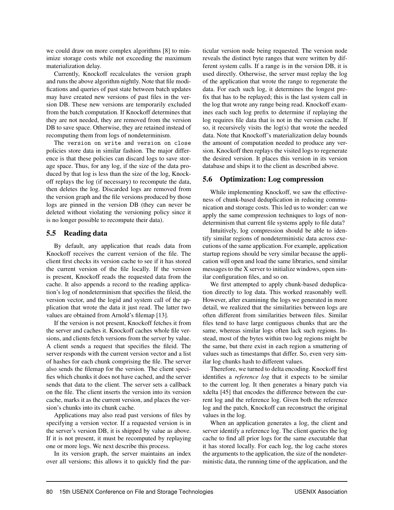we could draw on more complex algorithms [8] to minimize storage costs while not exceeding the maximum materialization delay.

Currently, Knockoff recalculates the version graph and runs the above algorithm nightly. Note that file modifications and queries of past state between batch updates may have created new versions of past files in the version DB. These new versions are temporarily excluded from the batch computation. If Knockoff determines that they are not needed, they are removed from the version DB to save space. Otherwise, they are retained instead of recomputing them from logs of nondeterminism.

The version on write and version on close policies store data in similar fashion. The major difference is that these policies can discard logs to save storage space. Thus, for any log, if the size of the data produced by that log is less than the size of the log, Knockoff replays the log (if necessary) to recompute the data, then deletes the log. Discarded logs are removed from the version graph and the file versions produced by those logs are pinned in the version DB (they can never be deleted without violating the versioning policy since it is no longer possible to recompute their data).

# 5.5 Reading data

By default, any application that reads data from Knockoff receives the current version of the file. The client first checks its version cache to see if it has stored the current version of the file locally. If the version is present, Knockoff reads the requested data from the cache. It also appends a record to the reading application's log of nondeterminism that specifies the fileid, the version vector, and the logid and system call of the application that wrote the data it just read. The latter two values are obtained from Arnold's filemap [13].

If the version is not present, Knockoff fetches it from the server and caches it. Knockoff caches whole file versions, and clients fetch versions from the server by value. A client sends a request that specifies the fileid. The server responds with the current version vector and a list of hashes for each chunk comprising the file. The server also sends the filemap for the version. The client specifies which chunks it does not have cached, and the server sends that data to the client. The server sets a callback on the file. The client inserts the version into its version cache, marks it as the current version, and places the version's chunks into its chunk cache.

Applications may also read past versions of files by specifying a version vector. If a requested version is in the server's version DB, it is shipped by value as above. If it is not present, it must be recomputed by replaying one or more logs. We next describe this process.

In its version graph, the server maintains an index over all versions; this allows it to quickly find the particular version node being requested. The version node reveals the distinct byte ranges that were written by different system calls. If a range is in the version DB, it is used directly. Otherwise, the server must replay the log of the application that wrote the range to regenerate the data. For each such log, it determines the longest prefix that has to be replayed; this is the last system call in the log that wrote any range being read. Knockoff examines each such log prefix to determine if replaying the log requires file data that is not in the version cache. If so, it recursively visits the log(s) that wrote the needed data. Note that Knockoff's materialization delay bounds the amount of computation needed to produce any version. Knockoff then replays the visited logs to regenerate the desired version. It places this version in its version database and ships it to the client as described above.

# 5.6 Optimization: Log compression

While implementing Knockoff, we saw the effectiveness of chunk-based deduplication in reducing communication and storage costs. This led us to wonder: can we apply the same compression techniques to logs of nondeterminism that current file systems apply to file data?

Intuitively, log compression should be able to identify similar regions of nondeterministic data across executions of the same application. For example, application startup regions should be very similar because the application will open and load the same libraries, send similar messages to the X server to initialize windows, open similar configuration files, and so on.

We first attempted to apply chunk-based deduplication directly to log data. This worked reasonably well. However, after examining the logs we generated in more detail, we realized that the similarities between logs are often different from similarities between files. Similar files tend to have large contiguous chunks that are the same, whereas similar logs often lack such regions. Instead, most of the bytes within two log regions might be the same, but there exist in each region a smattering of values such as timestamps that differ. So, even very similar log chunks hash to different values.

Therefore, we turned to delta encoding. Knockoff first identifies a *reference log* that it expects to be similar to the current log. It then generates a binary patch via xdelta [45] that encodes the difference between the current log and the reference log. Given both the reference log and the patch, Knockoff can reconstruct the original values in the log.

When an application generates a log, the client and server identify a reference log. The client queries the log cache to find all prior logs for the same executable that it has stored locally. For each log, the log cache stores the arguments to the application, the size of the nondeterministic data, the running time of the application, and the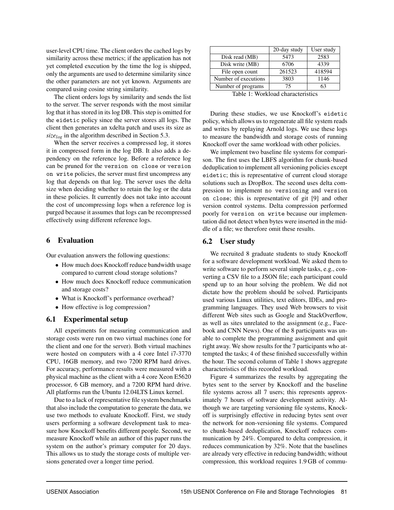user-level CPU time. The client orders the cached logs by similarity across these metrics; if the application has not yet completed execution by the time the log is shipped, only the arguments are used to determine similarity since the other parameters are not yet known. Arguments are compared using cosine string similarity.

The client orders logs by similarity and sends the list to the server. The server responds with the most similar log that it has stored in its log DB. This step is omitted for the eidetic policy since the server stores all logs. The client then generates an xdelta patch and uses its size as *sizelog* in the algorithm described in Section 5.3.

When the server receives a compressed log, it stores it in compressed form in the log DB. It also adds a dependency on the reference log. Before a reference log can be pruned for the version on close or version on write policies, the server must first uncompress any log that depends on that log. The server uses the delta size when deciding whether to retain the log or the data in these policies. It currently does not take into account the cost of uncompressing logs when a reference log is purged because it assumes that logs can be recompressed effectively using different reference logs.

# 6 Evaluation

Our evaluation answers the following questions:

- How much does Knockoff reduce bandwidth usage compared to current cloud storage solutions?
- How much does Knockoff reduce communication and storage costs?
- What is Knockoff's performance overhead?
- How effective is log compression?

## 6.1 Experimental setup

All experiments for measuring communication and storage costs were run on two virtual machines (one for the client and one for the server). Both virtual machines were hosted on computers with a 4 core Intel i7-3770 CPU, 16GB memory, and two 7200 RPM hard drives. For accuracy, performance results were measured with a physical machine as the client with a 4 core Xeon E5620 processor, 6 GB memory, and a 7200 RPM hard drive. All platforms run the Ubuntu 12.04LTS Linux kernel.

Due to a lack of representative file system benchmarks that also include the computation to generate the data, we use two methods to evaluate Knockoff. First, we study users performing a software development task to measure how Knockoff benefits different people. Second, we measure Knockoff while an author of this paper runs the system on the author's primary computer for 20 days. This allows us to study the storage costs of multiple versions generated over a longer time period.

|                      | 20-day study | User study |  |
|----------------------|--------------|------------|--|
| Disk read (MB)       | 5473         | 2583       |  |
| Disk write (MB)      | 6706         | 4339       |  |
| File open count      | 261523       | 418594     |  |
| Number of executions | 3803         | 1146       |  |
| Number of programs   | 75           |            |  |

Table 1: Workload characteristics

During these studies, we use Knockoff's eidetic policy, which allows us to regenerate all file system reads and writes by replaying Arnold logs. We use these logs to measure the bandwidth and storage costs of running Knockoff over the same workload with other policies.

We implement two baseline file systems for comparison. The first uses the LBFS algorithm for chunk-based deduplication to implement all versioning policies except eidetic; this is representative of current cloud storage solutions such as DropBox. The second uses delta compression to implement no versioning and version on close; this is representative of git [9] and other version control systems. Delta compression performed poorly for version on write because our implementation did not detect when bytes were inserted in the middle of a file; we therefore omit these results.

## 6.2 User study

We recruited 8 graduate students to study Knockoff for a software development workload. We asked them to write software to perform several simple tasks, e.g., converting a CSV file to a JSON file; each participant could spend up to an hour solving the problem. We did not dictate how the problem should be solved. Participants used various Linux utilities, text editors, IDEs, and programming languages. They used Web browsers to visit different Web sites such as Google and StackOverflow, as well as sites unrelated to the assignment (e.g., Facebook and CNN News). One of the 8 participants was unable to complete the programming assignment and quit right away. We show results for the 7 participants who attempted the tasks; 4 of these finished successfully within the hour. The second column of Table 1 shows aggregate characteristics of this recorded workload.

Figure 4 summarizes the results by aggregating the bytes sent to the server by Knockoff and the baseline file systems across all 7 users; this represents approximately 7 hours of software development activity. Although we are targeting versioning file systems, Knockoff is surprisingly effective in reducing bytes sent over the network for non-versioning file systems. Compared to chunk-based deduplication, Knockoff reduces communication by 24%. Compared to delta compression, it reduces communication by 32%. Note that the baselines are already very effective in reducing bandwidth; without compression, this workload requires 1.9 GB of commu-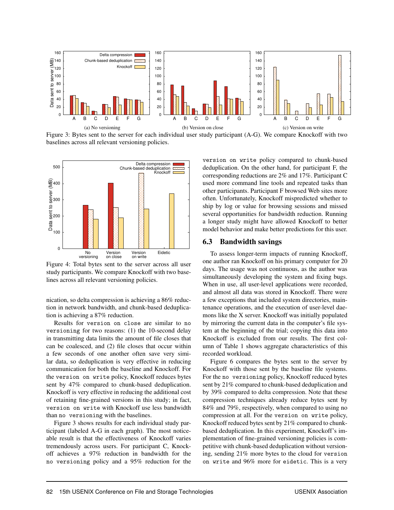

Figure 3: Bytes sent to the server for each individual user study participant (A-G). We compare Knockoff with two baselines across all relevant versioning policies.



Figure 4: Total bytes sent to the server across all user study participants. We compare Knockoff with two baselines across all relevant versioning policies.

nication, so delta compression is achieving a 86% reduction in network bandwidth, and chunk-based deduplication is achieving a 87% reduction.

Results for version on close are similar to no versioning for two reasons: (1) the 10-second delay in transmitting data limits the amount of file closes that can be coalesced, and (2) file closes that occur within a few seconds of one another often save very similar data, so deduplication is very effective in reducing communication for both the baseline and Knockoff. For the version on write policy, Knockoff reduces bytes sent by 47% compared to chunk-based deduplication. Knockoff is very effective in reducing the additional cost of retaining fine-grained versions in this study; in fact, version on write with Knockoff use less bandwidth than no versioning with the baselines.

Figure 3 shows results for each individual study participant (labeled A-G in each graph). The most noticeable result is that the effectiveness of Knockoff varies tremendously across users. For participant C, Knockoff achieves a 97% reduction in bandwidth for the no versioning policy and a 95% reduction for the version on write policy compared to chunk-based deduplication. On the other hand, for participant F, the corresponding reductions are 2% and 17%. Participant C used more command line tools and repeated tasks than other participants. Participant F browsed Web sites more often. Unfortunately, Knockoff mispredicted whether to ship by log or value for browsing sessions and missed several opportunities for bandwidth reduction. Running a longer study might have allowed Knockoff to better model behavior and make better predictions for this user.

#### 6.3 Bandwidth savings

To assess longer-term impacts of running Knockoff, one author ran Knockoff on his primary computer for 20 days. The usage was not continuous, as the author was simultaneously developing the system and fixing bugs. When in use, all user-level applications were recorded, and almost all data was stored in Knockoff. There were a few exceptions that included system directories, maintenance operations, and the execution of user-level daemons like the X server. Knockoff was initially populated by mirroring the current data in the computer's file system at the beginning of the trial; copying this data into Knockoff is excluded from our results. The first column of Table 1 shows aggregate characteristics of this recorded workload.

Figure 6 compares the bytes sent to the server by Knockoff with those sent by the baseline file systems. For the no versioning policy, Knockoff reduced bytes sent by 21% compared to chunk-based deduplication and by 39% compared to delta compression. Note that these compression techniques already reduce bytes sent by 84% and 79%, respectively, when compared to using no compression at all. For the version on write policy, Knockoff reduced bytes sent by 21% compared to chunkbased deduplication. In this experiment, Knockoff's implementation of fine-grained versioning policies is competitive with chunk-based deduplication without versioning, sending 21% more bytes to the cloud for version on write and 96% more for eidetic. This is a very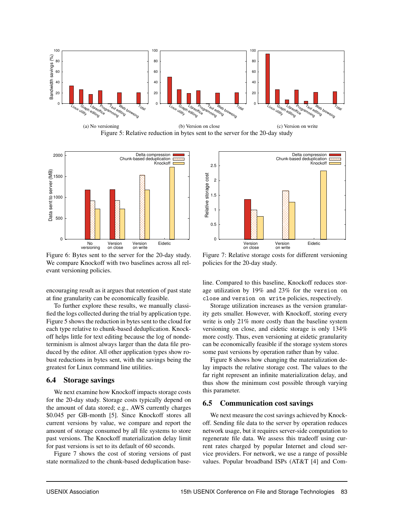

(a) No versioning (b) Version on close (c) Version on write Figure 5: Relative reduction in bytes sent to the server for the 20-day study



Figure 6: Bytes sent to the server for the 20-day study. We compare Knockoff with two baselines across all relevant versioning policies.

encouraging result as it argues that retention of past state at fine granularity can be economically feasible.

To further explore these results, we manually classified the logs collected during the trial by application type. Figure 5 shows the reduction in bytes sent to the cloud for each type relative to chunk-based deduplication. Knockoff helps little for text editing because the log of nondeterminism is almost always larger than the data file produced by the editor. All other application types show robust reductions in bytes sent, with the savings being the greatest for Linux command line utilities.

#### 6.4 Storage savings

We next examine how Knockoff impacts storage costs for the 20-day study. Storage costs typically depend on the amount of data stored; e.g., AWS currently charges \$0.045 per GB-month [5]. Since Knockoff stores all current versions by value, we compare and report the amount of storage consumed by all file systems to store past versions. The Knockoff materialization delay limit for past versions is set to its default of 60 seconds.

Figure 7 shows the cost of storing versions of past state normalized to the chunk-based deduplication base-



Figure 7: Relative storage costs for different versioning policies for the 20-day study.

line. Compared to this baseline, Knockoff reduces storage utilization by 19% and 23% for the version on close and version on write policies, respectively.

Storage utilization increases as the version granularity gets smaller. However, with Knockoff, storing every write is only 21% more costly than the baseline system versioning on close, and eidetic storage is only 134% more costly. Thus, even versioning at eidetic granularity can be economically feasible if the storage system stores some past versions by operation rather than by value.

Figure 8 shows how changing the materialization delay impacts the relative storage cost. The values to the far right represent an infinite materialization delay, and thus show the minimum cost possible through varying this parameter.

#### 6.5 Communication cost savings

We next measure the cost savings achieved by Knockoff. Sending file data to the server by operation reduces network usage, but it requires server-side computation to regenerate file data. We assess this tradeoff using current rates charged by popular Internet and cloud service providers. For network, we use a range of possible values. Popular broadband ISPs (AT&T [4] and Com-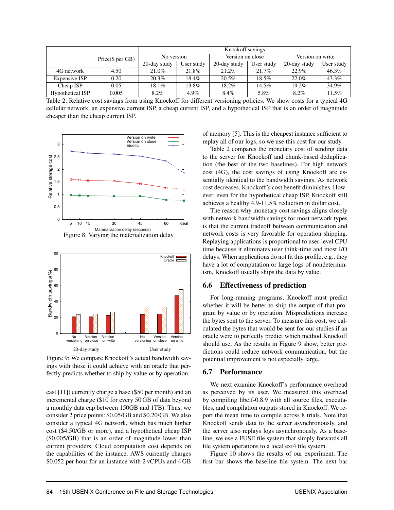|                      |                   | Knockoff savings |            |                  |            |                  |            |  |
|----------------------|-------------------|------------------|------------|------------------|------------|------------------|------------|--|
|                      | Price (\$ per GB) | No version       |            | Version on close |            | Version on write |            |  |
|                      |                   | 20-day study     | User study | 20-day study     | User study | 20-day study     | User study |  |
| 4G network           | 4.50              | 21.0%            | 21.8%      | $21.2\%$         | 21.7%      | 22.9%            | 46.3%      |  |
| <b>Expensive ISP</b> | 0.20              | 20.3%            | 18.4%      | 20.5%            | 18.5%      | 22.0%            | 43.3%      |  |
| Cheap ISP            | 0.05              | 18.1%            | $13.8\%$   | $18.2\%$         | 14.5%      | $19.2\%$         | 34.9%      |  |
| Hypothetical ISP     | 0.005             | 8.2%             | 4.9%       | 8.4%             | 5.8%       | 8.2%             | 11.5%      |  |

Table 2: Relative cost savings from using Knockoff for different versioning policies. We show costs for a typical 4G cellular network, an expensive current ISP, a cheap current ISP, and a hypothetical ISP that is an order of magnitude cheaper than the cheap current ISP.





Figure 9: We compare Knockoff's actual bandwidth savings with those it could achieve with an oracle that perfectly predicts whether to ship by value or by operation.

cast [11]) currently charge a base (\$50 per month) and an incremental charge (\$10 for every 50 GB of data beyond a monthly data cap between 150GB and 1TB). Thus, we consider 2 price points: \$0.05/GB and \$0.20/GB. We also consider a typical 4G network, which has much higher cost (\$4.50/GB or more), and a hypothetical cheap ISP (\$0.005/GB) that is an order of magnitude lower than current providers. Cloud computation cost depends on the capabilities of the instance. AWS currently charges \$0.052 per hour for an instance with 2 vCPUs and 4 GB of memory [5]. This is the cheapest instance sufficient to replay all of our logs, so we use this cost for our study.

Table 2 compares the monetary cost of sending data to the server for Knockoff and chunk-based deduplication (the best of the two baselines). For high network cost (4G), the cost savings of using Knockoff are essentially identical to the bandwidth savings. As network cost decreases, Knockoff's cost benefit diminishes. However, even for the hypothetical cheap ISP, Knockoff still achieves a healthy 4.9-11.5% reduction in dollar cost.

The reason why monetary cost savings aligns closely with network bandwidth savings for most network types is that the current tradeoff between communication and network costs is very favorable for operation shipping. Replaying applications is proportional to user-level CPU time because it eliminates user think-time and most I/O delays. When applications do not fit this profile, e.g., they have a lot of computation or large logs of nondeterminism, Knockoff usually ships the data by value.

# 6.6 Effectiveness of prediction

For long-running programs, Knockoff must predict whether it will be better to ship the output of that program by value or by operation. Mispredictions increase the bytes sent to the server. To measure this cost, we calculated the bytes that would be sent for our studies if an oracle were to perfectly predict which method Knockoff should use. As the results in Figure 9 show, better predictions could reduce network communication, but the potential improvement is not especially large.

## 6.7 Performance

We next examine Knockoff's performance overhead as perceived by its user. We measured this overhead by compiling libelf-0.8.9 with all source files, executables, and compilation outputs stored in Knockoff. We report the mean time to compile across 8 trials. Note that Knockoff sends data to the server asynchronously, and the server also replays logs asynchronously. As a baseline, we use a FUSE file system that simply forwards all file system operations to a local ext4 file system.

Figure 10 shows the results of our experiment. The first bar shows the baseline file system. The next bar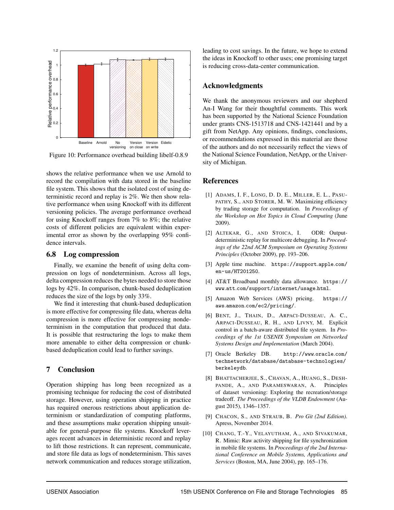

Figure 10: Performance overhead building libelf-0.8.9

shows the relative performance when we use Arnold to record the compilation with data stored in the baseline file system. This shows that the isolated cost of using deterministic record and replay is 2%. We then show relative performance when using Knockoff with its different versioning policies. The average performance overhead for using Knockoff ranges from 7% to 8%; the relative costs of different policies are equivalent within experimental error as shown by the overlapping 95% confidence intervals.

#### 6.8 Log compression

Finally, we examine the benefit of using delta compression on logs of nondeterminism. Across all logs, delta compression reduces the bytes needed to store those logs by 42%. In comparison, chunk-based deduplication reduces the size of the logs by only 33%.

We find it interesting that chunk-based deduplication is more effective for compressing file data, whereas delta compression is more effective for compressing nondeterminism in the computation that produced that data. It is possible that restructuring the logs to make them more amenable to either delta compression or chunkbased deduplication could lead to further savings.

# 7 Conclusion

Operation shipping has long been recognized as a promising technique for reducing the cost of distributed storage. However, using operation shipping in practice has required onerous restrictions about application determinism or standardization of computing platforms, and these assumptions make operation shipping unsuitable for general-purpose file systems. Knockoff leverages recent advances in deterministic record and replay to lift those restrictions. It can represent, communicate, and store file data as logs of nondeterminism. This saves network communication and reduces storage utilization, leading to cost savings. In the future, we hope to extend the ideas in Knockoff to other uses; one promising target is reducing cross-data-center communication.

#### Acknowledgments

We thank the anonymous reviewers and our shepherd An-I Wang for their thoughtful comments. This work has been supported by the National Science Foundation under grants CNS-1513718 and CNS-1421441 and by a gift from NetApp. Any opinions, findings, conclusions, or recommendations expressed in this material are those of the authors and do not necessarily reflect the views of the National Science Foundation, NetApp, or the University of Michigan.

#### References

- [1] ADAMS, I. F., LONG, D. D. E., MILLER, E. L., PASU-PATHY, S., AND STORER, M. W. Maximizing efficiency by trading storage for computation. In *Proceedings of the Workshop on Hot Topics in Cloud Computing* (June 2009).
- [2] ALTEKAR, G., AND STOICA, I. ODR: Outputdeterministic replay for multicore debugging. In *Proceedings of the 22nd ACM Symposium on Operating Systems Principles* (October 2009), pp. 193–206.
- [3] Apple time machine. https://support.apple.com/ en-us/HT201250.
- [4] AT&T Broadband monthly data allowance. https:// www.att.com/support/internet/usage.html.
- [5] Amazon Web Services (AWS) pricing. https:// aws.amazon.com/ec2/pricing/.
- [6] BENT, J., THAIN, D., ARPACI-DUSSEAU, A. C., ARPACI-DUSSEAU, R. H., AND LIVNY, M. Explicit control in a batch-aware distributed file system. In *Proceedings of the 1st USENIX Symposium on Networked Systems Design and Implementation* (March 2004).
- [7] Oracle Berkeley DB. http://www.oracle.com/ technetwork/database/database-technologies/ berkeleydb.
- [8] BHATTACHERJEE, S., CHAVAN, A., HUANG, S., DESH-PANDE, A., AND PARAMESWARAN, A. Principles of dataset versioning: Exploring the recreation/storage tradeoff. *The Proceedings of the VLDB Endowment* (August 2015), 1346–1357.
- [9] CHACON, S., AND STRAUB, B. *Pro Git (2nd Edition)*. Apress, November 2014.
- [10] CHANG, T.-Y., VELAYUTHAM, A., AND SIVAKUMAR, R. Mimic: Raw activity shipping for file synchronization in mobile file systems. In *Proceedings of the 2nd International Conference on Mobile Systems, Applications and Services* (Boston, MA, June 2004), pp. 165–176.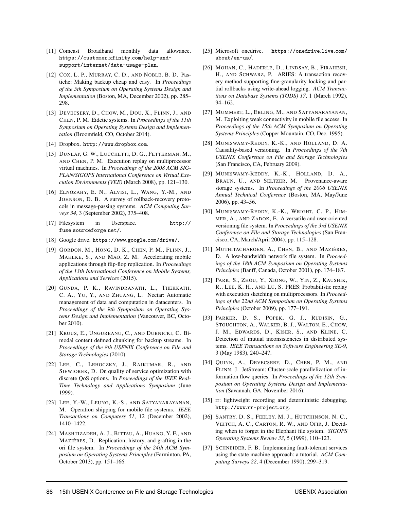- [11] Comcast Broadband monthly data allowance. https://customer.xfinity.com/help-andsupport/internet/data-usage-plan.
- [12] COX, L. P., MURRAY, C. D., AND NOBLE, B. D. Pastiche: Making backup cheap and easy. In *Proceedings of the 5th Symposium on Operating Systems Design and Implementation* (Boston, MA, December 2002), pp. 285– 298.
- [13] DEVECSERY, D., CHOW, M., DOU, X., FLINN, J., AND CHEN, P. M. Eidetic systems. In *Proceedings of the 11th Symposium on Operating Systems Design and Implementation* (Broomfield, CO, October 2014).
- [14] Dropbox. http://www.dropbox.com.
- [15] DUNLAP, G. W., LUCCHETTI, D. G., FETTERMAN, M., AND CHEN, P. M. Execution replay on multiprocessor virtual machines. In *Proceedings of the 2008 ACM SIG-PLAN/SIGOPS International Conference on Virtual Execution Environments (VEE)* (March 2008), pp. 121–130.
- [16] ELNOZAHY, E. N., ALVISI, L., WANG, Y.-M., AND JOHNSON, D. B. A survey of rollback-recovery protocols in message-passing systems. *ACM Computing Surveys 34*, 3 (September 2002), 375–408.
- [17] Filesystem in Userspace. http:// fuse.sourceforge.net/.
- [18] Google drive. https://www.google.com/drive/.
- [19] GORDON, M., HONG, D. K., CHEN, P. M., FLINN, J., MAHLKE, S., AND MAO, Z. M. Accelerating mobile applications through flip-flop replication. In *Proceedings of the 13th International Conference on Mobile Systems, Applications and Services* (2015).
- [20] GUNDA, P. K., RAVINDRANATH, L., THEKKATH, C. A., YU, Y., AND ZHUANG, L. Nectar: Automatic management of data and computation in datacenters. In *Proceedings of the 9th Symposium on Operating Systems Design and Implementation* (Vancouver, BC, October 2010).
- [21] KRUUS, E., UNGUREANU, C., AND DUBNICKI, C. Bimodal content defined chunking for backup streams. In *Proceedings of the 8th USENIX Conference on File and Storage Technologies* (2010).
- [22] LEE, C., LEHOCZKY, J., RAJKUMAR, R., AND SIEWIOREK, D. On quality of service optimization with discrete QoS options. In *Proceedings of the IEEE Real-Time Technology and Applications Symposium* (June 1999).
- [23] LEE, Y.-W., LEUNG, K.-S., AND SATYANARAYANAN, M. Operation shipping for mobile file systems. *IEEE Transactions on Computers 51*, 12 (December 2002), 1410–1422.
- [24] MASHTIZADEH, A. J., BITTAU, A., HUANG, Y. F., AND MAZIÈRES, D. Replication, history, and grafting in the ori file system. In *Proceedings of the 24th ACM Symposium on Operating Systems Principles* (Farminton, PA, October 2013), pp. 151–166.
- [25] Microsoft onedrive. https://onedrive.live.com/ about/en-us/.
- [26] MOHAN, C., HADERLE, D., LINDSAY, B., PIRAHESH, H., AND SCHWARZ, P. ARIES: A transaction recovery method supporting fine-granularity locking and partial rollbacks using write-ahead logging. *ACM Transactions on Database Systems (TODS) 17*, 1 (March 1992), 94–162.
- [27] MUMMERT, L., EBLING, M., AND SATYANARAYANAN, M. Exploiting weak connectivity in mobile file access. In *Proceedings of the 15th ACM Symposium on Operating Systems Principles* (Copper Mountain, CO, Dec. 1995).
- [28] MUNISWAMY-REDDY, K.-K., AND HOLLAND, D. A. Causality-based versioning. In *Proceedings of the 7th USENIX Conference on File and Storage Technologies* (San Francisco, CA, February 2009).
- [29] MUNISWAMY-REDDY, K.-K., HOLLAND, D. A., BRAUN, U., AND SELTZER, M. Provenance-aware storage systems. In *Proceedings of the 2006 USENIX Annual Technical Conference* (Boston, MA, May/June 2006), pp. 43–56.
- [30] MUNISWAMY-REDDY, K.-K., WRIGHT, C. P., HIM-MER, A., AND ZADOK, E. A versatile and user-oriented versioning file system. In *Proceedings of the 3rd USENIX Conference on File and Storage Technologies* (San Francisco, CA, March/April 2004), pp. 115–128.
- [31] MUTHITACHAROEN, A., CHEN, B., AND MAZIÈRES, D. A low-bandwidth network file system. In *Proceedings of the 18th ACM Symposium on Operating Systems Principles* (Banff, Canada, October 2001), pp. 174–187.
- [32] PARK, S., ZHOU, Y., XIONG, W., YIN, Z., KAUSHIK, R., LEE, K. H., AND LU, S. PRES: Probabilistic replay with execution sketching on multiprocessors. In *Proceedings of the 22nd ACM Symposium on Operating Systems Principles* (October 2009), pp. 177–191.
- [33] PARKER, D. S., POPEK, G. J., RUDISIN, G., STOUGHTON, A., WALKER, B. J., WALTON, E., CHOW, J. M., EDWARDS, D., KISER, S., AND KLINE, C. Detection of mutual inconsistencies in distributed systems. *IEEE Transactions on Software Engineering SE-9*, 3 (May 1983), 240–247.
- [34] QUINN, A., DEVECSERY, D., CHEN, P. M., AND FLINN, J. JetStream: Cluster-scale parallelization of information flow queries. In *Proceedings of the 12th Symposium on Operating Systems Design and Implementation* (Savannah, GA, November 2016).
- [35] rr: lightweight recording and deterministic debugging. http://www.rr-project.org.
- [36] SANTRY, D. S., FEELEY, M. J., HUTCHINSON, N. C., VEITCH, A. C., CARTON, R. W., AND OFIR, J. Deciding when to forget in the Elephant file system. *SIGOPS Operating Systems Review 33*, 5 (1999), 110–123.
- [37] SCHNEIDER, F. B. Implementing fault-tolerant services using the state machine approach: a tutorial. *ACM Computing Surveys 22*, 4 (December 1990), 299–319.